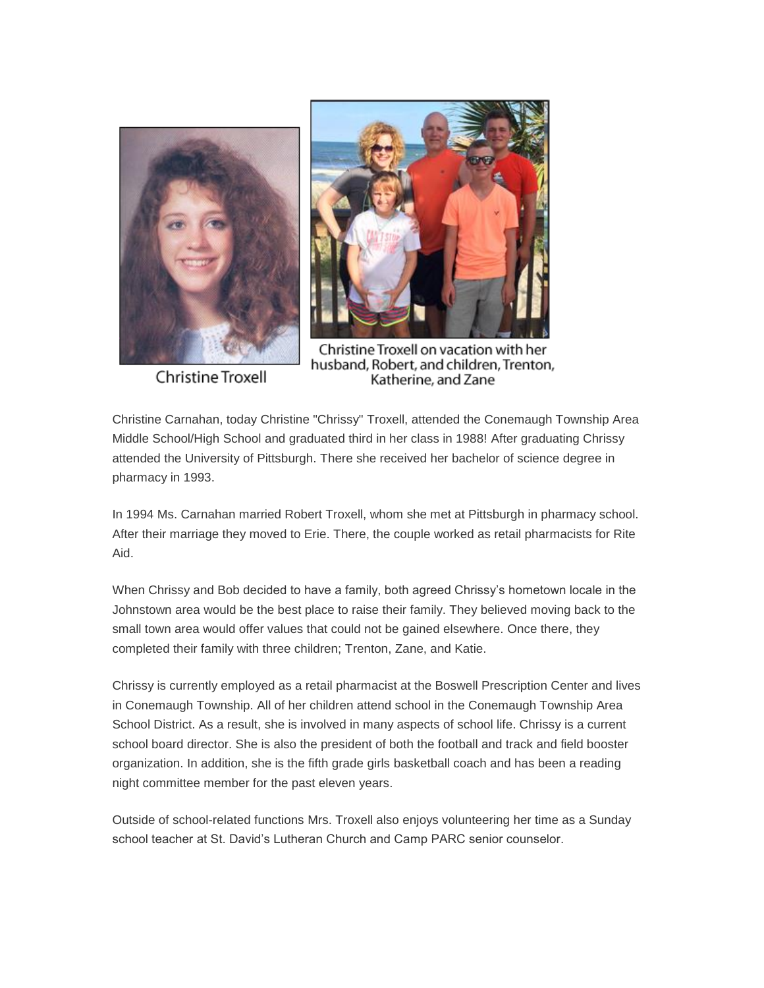

Christine Troxell



Christine Troxell on vacation with her husband, Robert, and children, Trenton, Katherine, and Zane

Christine Carnahan, today Christine "Chrissy" Troxell, attended the Conemaugh Township Area Middle School/High School and graduated third in her class in 1988! After graduating Chrissy attended the University of Pittsburgh. There she received her bachelor of science degree in pharmacy in 1993.

In 1994 Ms. Carnahan married Robert Troxell, whom she met at Pittsburgh in pharmacy school. After their marriage they moved to Erie. There, the couple worked as retail pharmacists for Rite Aid.

When Chrissy and Bob decided to have a family, both agreed Chrissy's hometown locale in the Johnstown area would be the best place to raise their family. They believed moving back to the small town area would offer values that could not be gained elsewhere. Once there, they completed their family with three children; Trenton, Zane, and Katie.

Chrissy is currently employed as a retail pharmacist at the Boswell Prescription Center and lives in Conemaugh Township. All of her children attend school in the Conemaugh Township Area School District. As a result, she is involved in many aspects of school life. Chrissy is a current school board director. She is also the president of both the football and track and field booster organization. In addition, she is the fifth grade girls basketball coach and has been a reading night committee member for the past eleven years.

Outside of school-related functions Mrs. Troxell also enjoys volunteering her time as a Sunday school teacher at St. David's Lutheran Church and Camp PARC senior counselor.